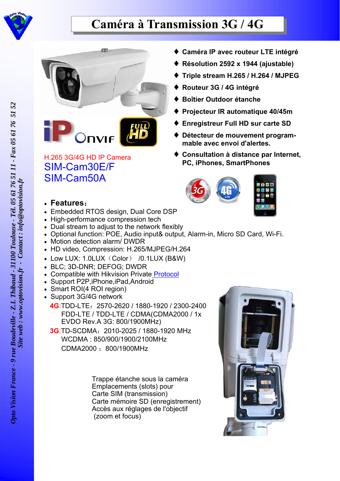

## **Caméra à Transmission 3G / 4G**





## H.265 3G/4G HD IP Camera SIM-Cam30E/F SIM-Cam50A

- **Caméra IP avec routeur LTE intégré**
- **Résolution 2592 x 1944 (ajustable)**
- **Triple stream H.265 / H.264 / MJPEG**
- **Routeur 3G / 4G intégré**
- **Boîtier Outdoor étanche**
- **Projecteur IR automatique 40/45m**
- **Enregistreur Full HD sur carte SD**
- **Détecteur de mouvement programmable avec envoi d'alertes.**
- ◆ Consultation à distance par Internet, **PC, iPhones, SmartPhones**



- **Features**:
- Embedded RTOS design, Dual Core DSP
- High-performance compression tech
- Dual stream to adjust to the network flexibly
- Optional function: POE, Audio input& output, Alarm-in, Micro SD Card, Wi-Fi.
- Motion detection alarm/ DWDR
- HD video, Compression: H.265/MJPEG/H.264
- $\bullet$  Low LUX: 1.0LUX (Color) /0.1LUX (B&W)
- BLC; 3D-DNR; DEFOG; DWDR
- Compatible with Hikvision Private Protocol
- Support P2P, iPhone, iPad, Android
- Smart ROI(4 ROI region)
- Support 3G/4G network

## **4G**:TDD-LTE:2570-2620 / 1880-1920 / 2300-2400 FDD-LTE / TDD-LTE / CDMA(CDMA2000 / 1x EVDO Rev.A 3G: 800/1900MHz)

 **3G**:TD-SCDMA:2010-2025 / 1880-1920 MHz WCDMA : 850/900/1900/2100MHz CDMA2000 :800/1900MHz

> Trappe étanche sous la caméra Emplacements (slots) pour Carte SIM (transmission) Carte mémoire SD (enregistrement) Accès aux réglages de l'objectif (zoom et focus)